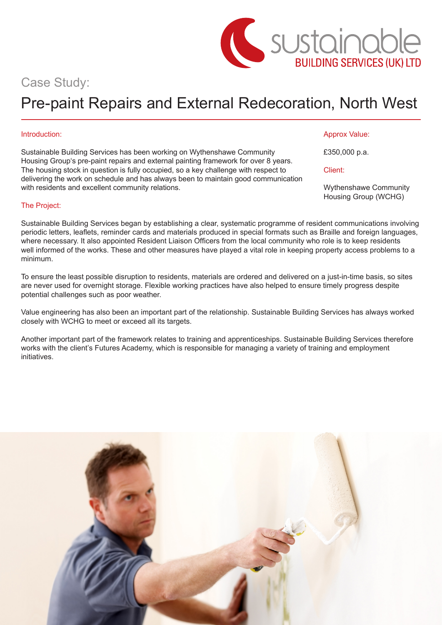# Case Study:

# Pre-paint Repairs and External Redecoration, North West

#### Introduction:

Sustainable Building Services has been working on Wythenshawe Community Housing Group's pre-paint repairs and external painting framework for over 8 years. The housing stock in question is fully occupied, so a key challenge with respect to delivering the work on schedule and has always been to maintain good communication with residents and excellent community relations.

### Approx Value:

£350,000 p.a.

Client:

Wythenshawe Community Housing Group (WCHG)

## The Project:

Sustainable Building Services began by establishing a clear, systematic programme of resident communications involving periodic letters, leaflets, reminder cards and materials produced in special formats such as Braille and foreign languages, where necessary. It also appointed Resident Liaison Officers from the local community who role is to keep residents well informed of the works. These and other measures have played a vital role in keeping property access problems to a minimum.

To ensure the least possible disruption to residents, materials are ordered and delivered on a just-in-time basis, so sites are never used for overnight storage. Flexible working practices have also helped to ensure timely progress despite potential challenges such as poor weather.

Value engineering has also been an important part of the relationship. Sustainable Building Services has always worked closely with WCHG to meet or exceed all its targets.

Another important part of the framework relates to training and apprenticeships. Sustainable Building Services therefore works with the client's Futures Academy, which is responsible for managing a variety of training and employment initiatives.